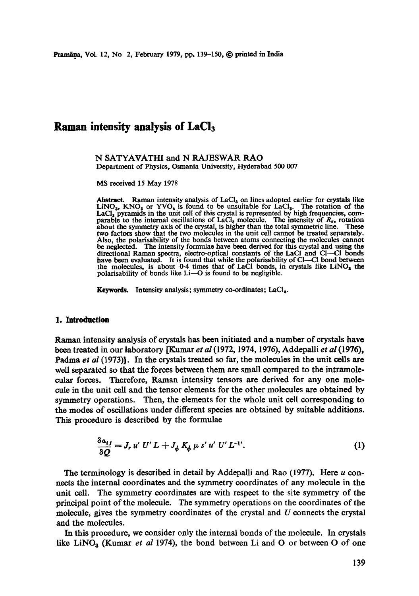# **Raman intensity analysis of LaCla**

N SATYAVATHI and N RAJESWAR RAO Department of Physics, Osmania University, Hyderabad 500 007

MS received 15 May 1978

Abstract. Raman intensity analysis of  $LaCl<sub>3</sub>$  on lines adopted earlier for crystals like  $LINO<sub>3</sub>$ , KNO<sub>3</sub> or YVO<sub>4</sub> is found to be unsuitable for LaCl<sub>3</sub>. The rotation of the LaCl, pyramids in the unit cell of this crystal is represented by high frequencies, comparable to the internal oscillations of  $LaCl<sub>3</sub>$  molecule. The intensity of  $R<sub>z</sub>$ , rotation about the symmetry axis of the crystal, is higher than the total symmetric line. These two factors show that the two molecules in the unit cell cannot be treated separately. Also, the polarisability of the bonds between atoms connecting the molecules cannot be neglected. The intensity formulae have been derived for this crystal and using the directional Raman spectra, electro-optical constants of the LaCl and Cl—Cl bonds have been evaluated. It is found that while the polaris the molecules, is about  $0.4$  times that of LaCl bonds, in crystals like LiNO<sub>s</sub> the polarisability of bonds like  $Li$ - $O$  is found to be negligible.

Keywords. Intensity analysis; symmetry co-ordinates; LaCl<sub>3</sub>.

#### **1. Introduction**

Raman intensity analysis of crystals has been initiated and a number of crystals have been treated in our laboratory [Kumar *et al* (1972, 1974, 1976), Addepalli *et al* (1976), Padma *et al* (1973)]. In the crystals treated so far, the molecules in the unit cells are well separated so that the forces between them are small compared to the intramolecular forces. Therefore, Raman intensity tensors are derived for any one molecule in the unit cell and the tensor dements for the other molecules are obtained by symmetry operations. Then, the elements for the whole unit cell corresponding to the modes of oscillations under different species are obtained by suitable additions. This procedure is described by the formulae

$$
\frac{\delta a_{ij}}{\delta Q} = J_r u' U' L + J_\phi K_\phi \mu s' u' U' L^{-1'}.
$$
 (1)

The terminology is described in detail by Addepalli and Rao  $(1977)$ . Here u connects the internal coordinates and the symmetry coordinates of any molecule in the unit cell. The symmetry coordinates are with respect to the site symmetry of the principal point of the moleoale. The symmetry operations on the coordinates of the molecule, gives the symmetry coordinates of the crystal and  $U$  connects the crystal and the molecules.

In this procedure, we consider only the internal bonds of the molecule. In crystals like LiNO<sub>3</sub> (Kumar *et al* 1974), the bond between Li and O or between O of one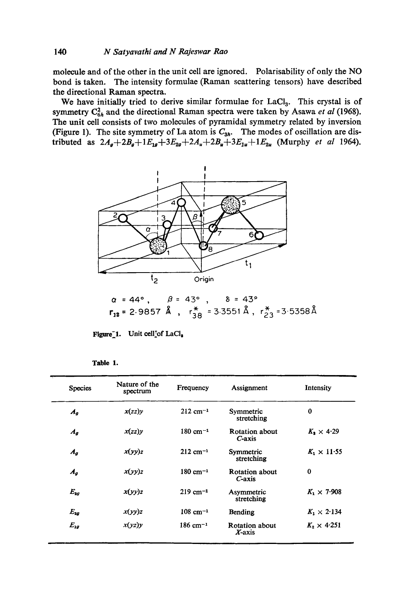molecule and of the other in the unit cell are ignored. Polarisability of only the NO bond is taken. The intensity formulae (Raman scattering tensors) have described the directional Raman spectra.

We have initially tried to derive similar formulae for LaCl<sub>3</sub>. This crystal is of symmetry  $C_{6h}^2$  and the directional Raman spectra were taken by Asawa *et al* (1968). The unit cell consists of two molecules of pyramidal symmetry related by inversion (Figure 1). The site symmetry of La atom is  $C_{3h}$ . The modes of oscillation are distributed as  $2A_g+2B_g+1E_{1g}+3E_{2g}+2A_u+2B_u+3E_{1u}+1E_{2u}$  (Murphy *et al* 1964).



$$
\alpha = 44^{\circ}
$$
,  $\beta = 43^{\circ}$ ,  $\delta = 43^{\circ}$   
\n $r_{12} = 2.9857 \text{ Å}$ ,  $r_{38}^{*} = 3.3551 \text{ Å}$ ,  $r_{23}^{*} = 3.5358 \text{ Å}$ 

Figure<sup>-1</sup>. Unit cell<sup>t</sup>of LaCl.

| 1<br>I<br>г<br>н | × |
|------------------|---|
|------------------|---|

| <b>Species</b>     | Nature of the<br>spectrum | Frequency              | Assignment                      | Intensity               |
|--------------------|---------------------------|------------------------|---------------------------------|-------------------------|
| $A_{g}$            | x(zz)y                    | $212 \text{ cm}^{-1}$  | Symmetric<br>stretching         | $\bf{0}$                |
| $A_{\mathfrak{a}}$ | x(zz)y                    | $180 \text{ cm}^{-1}$  | Rotation about<br>$C$ -axis     | $K_{\rm h} \times 4.29$ |
| $A_{g}$            | x(yy)z                    | $212 \text{ cm}^{-1}$  | Symmetric<br>stretching         | $K_1 \times 11.55$      |
| $A_{g}$            | x(yy)z                    | $180 \text{ cm}^{-1}$  | Rotation about<br>$C$ -axis     | $\bf{0}$                |
| $E_{2g}$           | x(yy)z                    | $219$ cm <sup>-1</sup> | Asymmetric<br>stretching        | $K_1 \times 7.908$      |
| $E_{2g}$           | x(yy)z                    | $108$ cm <sup>-1</sup> | Bending                         | $K_1 \times 2.134$      |
| $E_{1g}$           | x(yz)y                    | $186 \text{ cm}^{-1}$  | <b>Rotation about</b><br>X-axis | $K_2 \times 4.251$      |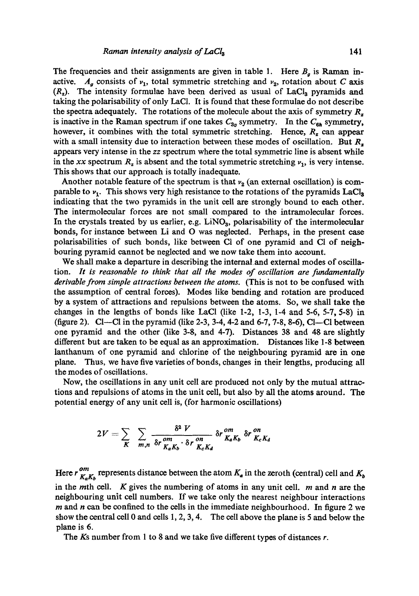The frequencies and their assignments are given in table 1. Here  $B<sub>g</sub>$  is Raman inactive.  $A<sub>g</sub>$  consists of  $v<sub>1</sub>$ , total symmetric stretching and  $v<sub>2</sub>$ , rotation about C axis  $(R<sub>z</sub>)$ . The intensity formulae have been derived as usual of LaCl<sub>3</sub> pyramids and taking the polarisability of only LaC1. It is found that these formulae do not describe the spectra adequately. The rotations of the molecule about the axis of symmetry  $R_z$ is inactive in the Raman spectrum if one takes  $C_{3v}$  symmetry. In the  $C_{6h}$  symmetry, however, it combines with the total symmetric stretching. Hence,  $R<sub>z</sub>$  can appear with a small intensity due to interaction between these modes of oscillation. But  $R<sub>z</sub>$ appears very intense in the *zz* spectrum where the total symmetric line is absent while in the *xx* spectrum  $R_z$  is absent and the total symmetric stretching  $v_1$ , is very intense. This shows that our approach is totally inadequate.

Another notable feature of the spectrum is that  $v<sub>2</sub>$  (an external oscillation) is comparable to  $v_1$ . This shows very high resistance to the rotations of the pyramids LaCl<sub>a</sub> indicating that the two pyramids in the unit cell are strongly bound to each other. The intermolecular forces are not small compared to the intramolecular forces. In the crystals treated by us earlier, e.g.  $LiNO<sub>3</sub>$ , polarisability of the intermolecular bonds, for instance between Li and O was neglected. Perhaps, in the present case polarisabilities of such bonds, like between CI of one pyramid and CI of neighbouring pyramid cannot be neglected and we now take them into account.

We shall make a departure in describing the internal and external modes of oscillation. *It is reasonable to think that all the modes of oscillation are fundamentally derivable from simple attractions between the atoms.* (This is not to be confused with the assumption of central forces). Modes like bending and rotation are produced by a system of attractions and repulsions between the atoms. So, we shall take the changes in the lengths of bonds like LaCI (like 1-2, 1-3, 1-4 and 5-6, 5-7, 5-8) in (figure 2). Cl—Cl in the pyramid (like 2-3, 3-4, 4-2 and 6-7, 7-8, 8-6), Cl—Cl between one pyramid and the other (like 3-8, and 4-7). Distances 38 and 48 are slightly different but are taken to be equal as an approximation. Distances like 1-8 between lanthanum of one pyramid and chlorine of the neighbouring pyramid are in one plane. Thus, we have five varieties of bonds, changes in their lengths, producing all the modes of oscillations.

Now, the oscillations in any unit cell are produced not only by the mutual attractions and repulsions of atoms in the unit cell, but also by all the atoms around. The potential energy of any unit cell is, (for harmonic oscillations)

$$
2V = \sum_{K} \sum_{m,n} \frac{\delta^2 V}{\delta r \, \frac{\delta m}{K_a K_b} \cdot \delta r \, \frac{\delta m}{K_c K_d}} \, \delta r \, \frac{\delta m}{K_a K_b} \, \delta r \, \frac{\delta m}{K_c K_d}
$$

Here *r*  $\frac{om}{K_nK_b}$  represents distance between the atom  $K_a$  in the zeroth (central) cell and  $K_b$ in the *m*th cell. K gives the numbering of atoms in any unit cell.  $m$  and  $n$  are the neighbouring unit cell numbers. If we take only the nearest neighbour interactions  $m$  and  $n$  can be confined to the cells in the immediate neighbourhood. In figure 2 we show the central cell 0 and cells 1, 2, 3, 4. The cell above the plane is 5 and below the plane is 6.

The Ks number from 1 to 8 and we take five different types of distances r.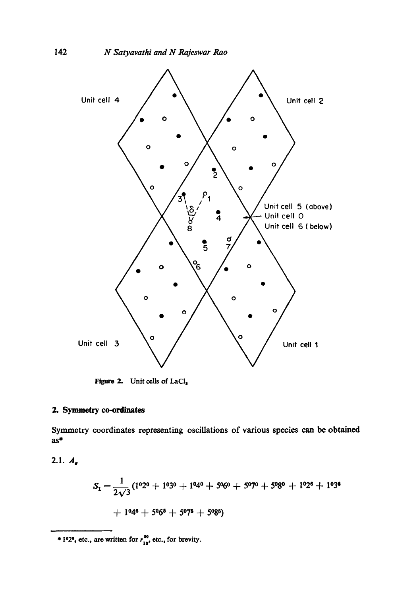

Figure 2. Unit cells of LaCl,

# 2. Symmetry co-ordinates

Symmetry coordinates representing oscillations of various species can be obtained  $as*$ 

2.1.  $A_{g}$ 

$$
S_1 = \frac{1}{2\sqrt{3}} (1^0 2^0 + 1^0 3^0 + 1^0 4^0 + 5^0 6^0 + 5^0 7^0 + 5^0 8^0 + 1^0 2^6 + 1^0 3^6 + 1^0 4^6 + 5^0 6^8 + 5^0 7^5 + 5^0 8^5)
$$

\* 1°2°, etc., are written for  $r_{13}^{\infty}$ , etc., for brevity.

142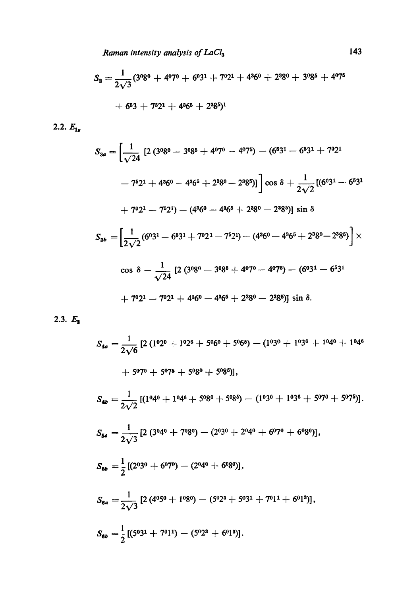*Raman intensity analysis of LaCl3* 143

$$
S_2 = \frac{1}{2\sqrt{3}}(3^{0}8^{0} + 4^{0}7^{0} + 6^{0}3^{1} + 7^{0}2^{1} + 4^{3}6^{0} + 2^{3}8^{0} + 3^{0}8^{5} + 4^{0}7^{5}
$$
  
+ 6<sup>5</sup>3 + 7<sup>5</sup>2<sup>1</sup> + 4<sup>3</sup>6<sup>5</sup> + 2<sup>3</sup>8<sup>5</sup>)<sup>1</sup>

2.2.  $E_{1g}$ 

$$
S_{3a} = \left[\frac{1}{\sqrt{24}} \left[2 \left(3^{0}8^{0} - 3^{0}8^{5} + 4^{0}7^{0} - 4^{0}7^{5}\right) - \left(6^{5}3^{1} - 6^{5}3^{1} + 7^{0}2^{1}\right)\right] - 7^{5}2^{1} + 4^{3}6^{0} - 4^{3}6^{5} + 2^{3}8^{0} - 2^{3}8^{5})]
$$
\n
$$
\left[\cos \delta + \frac{1}{2\sqrt{2}} \left[\left(6^{0}3^{1} - 6^{5}3^{1} + 7^{0}2^{1}\right) - \left(4^{3}6^{0} - 4^{3}6^{5} + 2^{3}8^{0} - 2^{3}8^{5}\right)\right] \sin \delta
$$
\n
$$
S_{3b} = \left[\frac{1}{2\sqrt{2}} \left(6^{0}3^{1} - 6^{5}3^{1} + 7^{0}2^{1} - 7^{5}2^{1}\right) - \left(4^{3}6^{0} - 4^{3}6^{5} + 2^{3}8^{0} - 2^{3}8^{5}\right)\right] \times
$$
\n
$$
\cos \delta - \frac{1}{\sqrt{24}} \left[2 \left(3^{0}8^{0} - 3^{0}8^{5} + 4^{0}7^{0} - 4^{0}7^{5}\right) - \left(6^{0}3^{1} - 6^{5}3^{1} + 7^{0}2^{1} - 7^{0}2^{1} + 4^{3}6^{0} - 4^{3}6^{5} + 2^{3}8^{0} - 2^{3}8^{5}\right)\right] \sin \delta.
$$

2.3.  $E_2$ 

$$
S_{4a} = \frac{1}{2\sqrt{6}} \left[ 2 \left( 1^0 2^0 + 1^0 2^6 + 5^0 6^0 + 5^0 6^5 \right) - \left( 1^0 3^0 + 1^0 3^6 + 1^0 4^0 + 1^0 4^6 + 5^0 7^0 + 5^0 7^5 + 5^0 8^0 + 5^0 8^5 \right) \right],
$$
  
\n
$$
S_{4b} = \frac{1}{2\sqrt{2}} \left[ \left( 1^0 4^0 + 1^0 4^6 + 5^0 8^0 + 5^0 8^5 \right) - \left( 1^0 3^0 + 1^0 3^6 + 5^0 7^0 + 5^0 7^5 \right) \right].
$$
  
\n
$$
S_{5a} = \frac{1}{2\sqrt{3}} \left[ 2 \left( 3^0 4^0 + 7^0 8^0 \right) - \left( 2^0 3^0 + 2^0 4^0 + 6^0 7^0 + 6^0 8^0 \right) \right],
$$
  
\n
$$
S_{5b} = \frac{1}{2} \left[ \left( 2^0 3^0 + 6^0 7^0 \right) - \left( 2^0 4^0 + 6^0 8^0 \right) \right],
$$
  
\n
$$
S_{6a} = \frac{1}{2\sqrt{3}} \left[ 2 \left( 4^0 5^0 + 1^0 8^0 \right) - \left( 5^0 2^3 + 5^0 3^1 + 7^0 1^1 + 6^0 1^3 \right) \right],
$$
  
\n
$$
S_{6b} = \frac{1}{2} \left[ \left( 5^0 3^1 + 7^0 1^1 \right) - \left( 5^0 2^3 + 6^0 1^3 \right) \right].
$$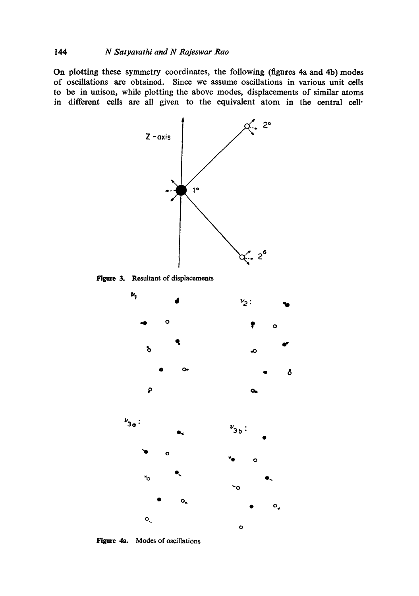On plotting these symmetry coordinates, the following (figures 4a and 4b) modes of oscillations are obtained. Since we assume oscillations in various unit cells to be in unison, while plotting the above modes, displacements of similar atoms in different cells are all given to the equivalent atom in the central cell-



Figure 3. Resultant of displacements



Figure 4a. Modes of oscillations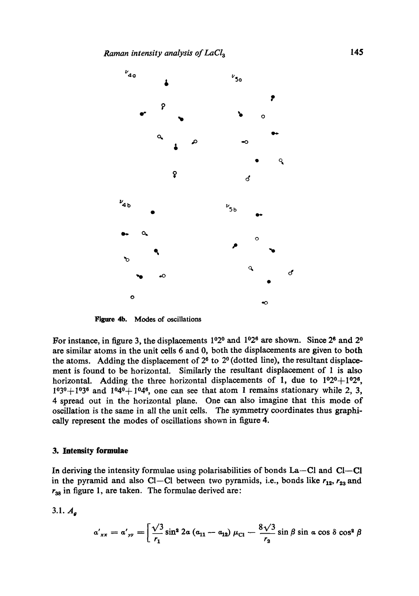

**Figure 4b. Modes of oscillations** 

For instance, in figure 3, the displacements  $1^{\circ}2^{\circ}$  and  $1^{\circ}2^{\circ}$  are shown. Since  $2^{\circ}$  and  $2^{\circ}$ are similar atoms in the unit cells 6 and 0, both the displacements are given to both the atoms. Adding the displacement of  $2<sup>6</sup>$  to  $2<sup>0</sup>$  (dotted line), the resultant displacement is found to be horizontal. Similarly the resultant displacement of 1 is also horizontal. Adding the three horizontal displacements of 1, due to  $1^02^0+1^02^6$ ,  $1^{\circ}3^{\circ}+1^{\circ}3^{\circ}$  and  $1^{\circ}4^{\circ}+1^{\circ}4^{\circ}$ , one can see that atom 1 remains stationary while 2, 3, 4 spread out in the horizontal plane. One can also imagine that this mode of oscillation is the same in all the unit cells. The symmetry coordinates thus graphically represent the modes of oscillations shown in figure 4.

### **3. Intensity formulae**

In deriving the intensity formulae using polarisabilities of bonds La--Cl and Cl--Cl in the pyramid and also CI--CI between two pyramids, i.e., bonds like  $r_{12}$ ,  $r_{23}$  and  $r_{38}$  in figure 1, are taken. The formulae derived are:

 $3.1. A_{q}$ 

$$
a'_{xx} = a'_{yy} = \left[ \frac{\sqrt{3}}{r_1} \sin^2 2a (a_{11} - a_{12}) \mu_{Cl} - \frac{8\sqrt{3}}{r_2} \sin \beta \sin a \cos \delta \cos^2 \beta \right]
$$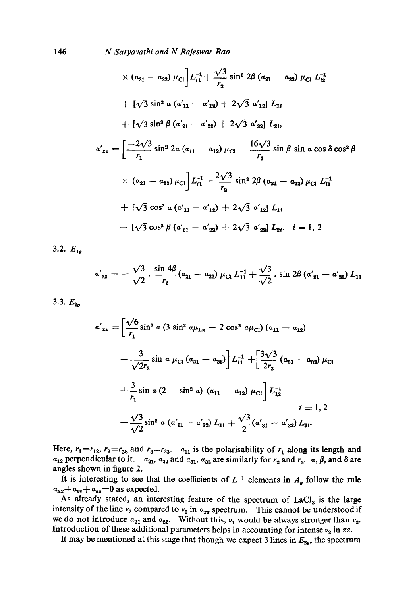N Satyavathi and N Rajeswar Rao

$$
\times (a_{21} - a_{22}) \mu_{C1} L_{i1}^{-1} + \frac{\sqrt{3}}{r_2} \sin^2 2\beta (a_{21} - a_{22}) \mu_{C1} L_{i2}^{-1}
$$
  
+ 
$$
[\sqrt{3} \sin^2 a (a'_{11} - a'_{12}) + 2\sqrt{3} a'_{12}] L_{1i}
$$
  
+ 
$$
[\sqrt{3} \sin^2 \beta (a'_{21} - a'_{22}) + 2\sqrt{3} a'_{22}] L_{2i},
$$
  

$$
a'_{zz} = \left[ \frac{-2\sqrt{3}}{r_1} \sin^2 2a (a_{11} - a_{12}) \mu_{C1} + \frac{16\sqrt{3}}{r_2} \sin \beta \sin a \cos \delta \cos^2 \beta \right]
$$
  

$$
\times (a_{21} - a_{22}) \mu_{C1} L_{i1}^{-1} - \frac{2\sqrt{3}}{r_2} \sin^2 2\beta (a_{21} - a_{22}) \mu_{C1} L_{i2}^{-1}
$$
  
+ 
$$
[\sqrt{3} \cos^2 a (a'_{11} - a'_{12}) + 2\sqrt{3} a'_{12}] L_{1i}
$$
  
+ 
$$
[\sqrt{3} \cos^2 \beta (a'_{21} - a'_{22}) + 2\sqrt{3} a'_{22}] L_{2i}. \quad i = 1, 2
$$

3.2.  $E_{1a}$ 

$$
a'_{yz} = -\frac{\sqrt{3}}{\sqrt{2}} \cdot \frac{\sin 4\beta}{r_2} (a_{21} - a_{22}) \mu_{Cl} L_{11}^{-1} + \frac{\sqrt{3}}{\sqrt{2}} \cdot \sin 2\beta (a'_{21} - a'_{22}) L_{11}
$$

3.3.  $E_{2a}$ 

$$
a'_{xx} = \left[\frac{\sqrt{6}}{r_1}\sin^2 a \left(3 \sin^2 a \mu_{La} - 2 \cos^2 a \mu_{Cl}\right) (a_{11} - a_{12})
$$

$$
- \frac{3}{\sqrt{2}r_3} \sin a \mu_{Cl} (a_{31} - a_{32})\right] L_{i1}^{-1} + \left[\frac{3\sqrt{3}}{2r_3} (a_{31} - a_{32}) \mu_{Cl} + \frac{3}{r_1} \sin a \left(2 - \sin^2 a\right) (a_{11} - a_{12}) \mu_{Cl}\right] L_{12}^{-1}
$$

$$
i = 1, 2
$$

$$
- \frac{\sqrt{3}}{\sqrt{2}} \sin^2 a \left(a'_{11} - a'_{12}\right) L_{1i} + \frac{\sqrt{3}}{2} \left(a'_{31} - a'_{32}\right) L_{2i}.
$$

Here,  $r_1 = r_{12}$ ,  $r_2 = r_{38}$  and  $r_3 = r_{23}$ .  $a_{11}$  is the polarisability of  $r_1$  along its length and  $a_{12}$  perpendicular to it.  $a_{21}$ ,  $a_{22}$  and  $a_{31}$ ,  $a_{32}$  are similarly for  $r_2$  and  $r_3$ .  $a, \beta$ , and  $\delta$  are angles shown in figure 2.

It is interesting to see that the coefficients of  $L^{-1}$  elements in  $A_{q}$  follow the rule  $a_{xx}+a_{yy}+a_{zz}=0$  as expected.

As already stated, an interesting feature of the spectrum of LaCl<sub>3</sub> is the large intensity of the line  $v_2$  compared to  $v_1$  in  $a_{zz}$  spectrum. This cannot be understood if we do not introduce  $a_{21}$  and  $a_{22}$ . Without this,  $\nu_1$  would be always stronger than  $\nu_2$ . Introduction of these additional parameters helps in accounting for intense  $v_2$  in zz.

It may be mentioned at this stage that though we expect 3 lines in  $E_{2g}$ , the spectrum

146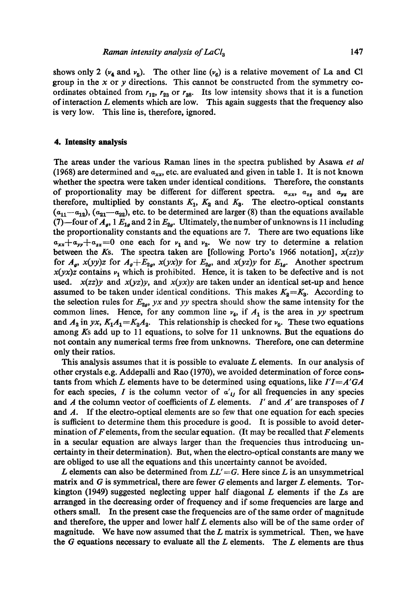shows only 2 ( $v_4$  and  $v_5$ ). The other line ( $v_6$ ) is a relative movement of La and Cl group in the  $x$  or  $y$  directions. This cannot be constructed from the symmetry coordinates obtained from  $r_{12}$ ,  $r_{23}$  or  $r_{38}$ . Its low intensity shows that it is a function of interaction  $L$  elements which are low. This again suggests that the frequency also is very low. This line is, therefore, ignored.

#### **4. Intensity analysis**

The areas under the various Raman lines in the spectra published by Asawa *et al*  (1968) are determined and  $a_{xx}$ , etc. are evaluated and given in table 1. It is not known whether the spectra were taken under identical conditions. Therefore, the constants of proportionality may be different for different spectra.  $a_{xx}$ ,  $a_{zz}$  and  $a_{yz}$  are therefore, multiplied by constants  $K_1$ ,  $K_2$  and  $K_3$ . The electro-optical constants  $(a_{11}-a_{12}), (a_{21}-a_{22}),$  etc. to be determined are larger (8) than the equations available (7) --four of  $A_g$ , 1  $E_{1g}$  and 2 in  $E_{2g}$ . Ultimately, the number of unknowns is 11 including the proportionality constants and the equations are 7. There are two equations like  $a_{xx}+a_{yy}+a_{zz}=0$  one each for  $v_1$  and  $v_2$ . We now try to determine a relation between the Ks. The spectra taken are [following Porto's 1966 notation], *x(zz)y*  for  $A_g$ ,  $x(yy)z$  for  $A_g + E_{2g}$ ,  $x(yx)y$  for  $E_{2g}$ , and  $x(yz)y$  for  $E_{1g}$ . Another spectrum  $x(yx)z$  contains  $\nu_1$  which is prohibited. Hence, it is taken to be defective and is not used.  $x(zz)y$  and  $x(yz)y$ , and  $x(yx)y$  are taken under an identical set-up and hence assumed to be taken under identical conditions. This makes  $K_2 = K_3$ . According to the selection rules for  $E_{2g}$ , yx and yy spectra should show the same intensity for the common lines. Hence, for any common line  $v_4$ , if  $A_1$  is the area in *yy* spectrum and  $A_2$  in *yx*,  $K_1A_1 = K_2A_2$ . This relationship is checked for  $v_5$ . These two equations among Ks add up to 11 equations, to solve for 11 unknowns. But the equations do not contain any numerical terms free from unknowns. Therefore, one can determine only their ratios.

This analysis assumes that it is possible to evaluate  $L$  elements. In our analysis of other crystals e.g. Addepalli and Rao (1970), we avoided determination of force constants from which L elements have to be determined using equations, like *I'I=A'GA*  for each species, I is the column vector of  $\alpha'_{ij}$  for all frequencies in any species and  $A$  the column vector of coefficients of  $L$  elements.  $I'$  and  $A'$  are transposes of  $I$ and  $\Lambda$ . If the electro-optical elements are so few that one equation for each species is sutficient to determine them this procedure is good. It is possible to avoid determination of  $F$  elements, from the secular equation. (It may be recalled that  $F$  elements in a secular equation are always larger than the frequencies thus introducing uncertainty in their determination). But, when the electro-optical constants are many we are obliged to use all the equations and this uncertainty cannot be avoided.

L elements can also be determined from  $LL' = G$ . Here since L is an unsymmetrical matrix and  $G$  is symmetrical, there are fewer  $G$  elements and larger  $L$  elements. Torkington (1949) suggested neglecting upper half diagonal  $L$  elements if the  $Ls$  are arranged in the decreasing order of frequency and if some frequencies are large and others small. In the present ease the frequencies are of the same order of magnitude and therefore, the upper and lower half L elements also will be of the same order of magnitude. We have now assumed that the  $L$  matrix is symmetrical. Then, we have the  $G$  equations necessary to evaluate all the  $L$  elements. The  $L$  elements are thus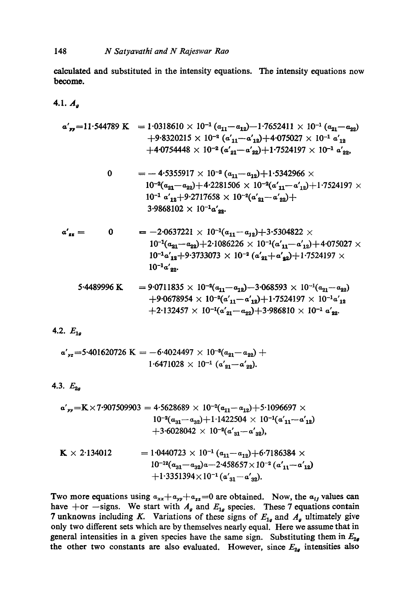calculated and substituted in the intensity equations. The intensity equations now become.

4.1.  $A_{a}$ 

$$
\alpha'_{yy}=11.544789 \text{ K} = 1.0318610 \times 10^{-1} (a_{11}-a_{12})-1.7652411 \times 10^{-1} (a_{21}-a_{22})
$$
  
+9.8320215 \times 10^{-2} (a'\_{11}-a'\_{12})+4.075027 \times 10^{-1} a'\_{12}  
+4.0754448 \times 10^{-2} (a'\_{21}-a'\_{22})+1.7524197 \times 10^{-1} a'\_{22},

$$
0 = -4.5355917 \times 10^{-2} (a_{11} - a_{12}) + 1.5342966 \times
$$
  
\n
$$
10^{-2} (a_{21} - a_{22}) + 4.2281506 \times 10^{-2} (a'_{11} - a'_{12}) + 1.7524197 \times
$$
  
\n
$$
10^{-1} a'_{12} + 9.2717658 \times 10^{-2} (a'_{21} - a'_{22}) +
$$
  
\n
$$
3.9868102 \times 10^{-1} a'_{22}.
$$

$$
a'_{zz} = 0 = -2.0637221 \times 10^{-1} (a_{11} - a_{12}) + 3.5304822 \times
$$
  
\n
$$
10^{-1} (a_{21} - a_{22}) + 2.1086226 \times 10^{-1} (a'_{11} - a'_{12}) + 4.075027 \times
$$
  
\n
$$
10^{-1} a'_{12} + 9.3733073 \times 10^{-2} (a'_{21} + a'_{22}) + 1.7524197 \times
$$
  
\n
$$
10^{-1} a'_{22}.
$$

$$
5.4489996 \text{ K} = 9.0711835 \times 10^{-2} (a_{11} - a_{12}) - 3.068593 \times 10^{-1} (a_{21} - a_{22})
$$
  
+9.0678954 \times 10^{-2} (a'\_{11} - a'\_{12}) + 1.7524197 \times 10^{-1} a'\_{12}  
+2.132457 \times 10^{-1} (a'\_{21} - a\_{22}) + 3.986810 \times 10^{-1} a'\_{22}.

4.2.  $E_{1g}$ 

$$
a'_{yz}=5.401620726 \text{ K} = -6.4024497 \times 10^{-3} (a_{21}-a_{22}) + 1.6471028 \times 10^{-1} (a'_{21}-a'_{22}).
$$

4.3.  $E_{2a}$ 

$$
\mathbf{a'}_{yy} = \mathbf{K} \times 7.907509903 = 4.5628689 \times 10^{-2} (a_{11} - a_{12}) + 5.1096697 \times 10^{-4} (a_{31} - a_{32}) + 1.1422504 \times 10^{-1} (a'_{11} - a'_{12}) + 3.6028042 \times 10^{-2} (a'_{31} - a'_{32}),
$$

$$
\mathbf{K} \times 2.134012 = 1.0440723 \times 10^{-1} (a_{11} - a_{12}) + 6.7186384 \times 10^{-12} (a_{31} - a_{32})a - 2.458657 \times 10^{-2} (a'_{11} - a'_{12}) + 1.3351394 \times 10^{-1} (a'_{31} - a'_{32}).
$$

Two more equations using  $a_{xx}+a_{yy}+a_{zz}=0$  are obtained. Now, the  $a_{ij}$  values can have +or --signs. We start with  $A_g$  and  $E_{1g}$  species. These 7 equations contain 7 unknowns including K. Variations of these signs of  $E_{1g}$  and  $A_g$  ultimately give only two different sets which are by themselves nearly equal. Here we assume that in general intensities in a given species have the same sign. Substituting them in  $E_{2g}$ the other two constants are also evaluated. However, since  $E_{2g}$  intensities also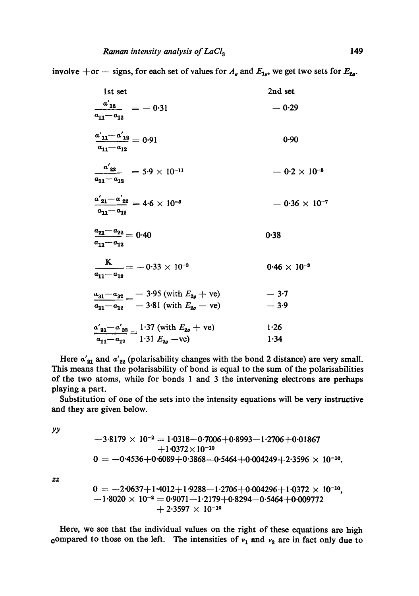involve +or -- signs, for each set of values for  $A_g$  and  $E_{1g}$ , we get two sets for  $E_{2g}$ .

| 1st set                                                                                                       | 2nd set                |
|---------------------------------------------------------------------------------------------------------------|------------------------|
| $\frac{a'_{12}}{a} = -0.31$<br>$a_{11}-a_{12}$                                                                | $-0.29$                |
| $\frac{a'_{11} - a'_{12}}{a} = 0.91$<br>$a_{11} - a_{12}$                                                     | 0.90                   |
| $\frac{a'_{22}}{a_{11}-a_{12}} = 5.9 \times 10^{-11}$                                                         | $-0.2 \times 10^{-3}$  |
| $\frac{a'_{21}-a'_{22}}{a_{11}-a_{12}} = 4.6 \times 10^{-3}$                                                  | $-0.36 \times 10^{-7}$ |
| $\frac{a_{21}-a_{22}}{a_{22}}=0.40$<br>$a_{11}-a_{12}$                                                        | 0.38                   |
| $\frac{K}{a_{11}-a_{12}} = -0.33 \times 10^{-3}$                                                              | $0.46 \times 10^{-8}$  |
| $\frac{a_{31}-a_{32}}{a_{32}} = -3.95$ (with $E_{2g}$ + ve)<br>$a_{11} - a_{12} = -3.81$ (with $E_{2a}$ – ve) | $-3.7$<br>$-3.9$       |
| $a'_{31} - a'_{32} = 1.37$ (with $E_{2g}$ + ve)<br>$\overline{a_{11}-a_{12}}$ 1.31 $E_{2g}$ -ve)              | 1.26<br>1.34           |

Here  $\alpha'_{21}$  and  $\alpha'_{22}$  (polarisability changes with the bond 2 distance) are very small. This means that the polarisability of bond is equal to the sum of the polarisabilities of the two atoms, while for bonds 1 and 3 the intervening electrons are perhaps playing a part.

Substitution of one of the sets into the intensity equations will be very instructive and they are given below.

YY

$$
-3.8179 \times 10^{-2} = 1.0318 - 0.7006 + 0.8993 - 1.2706 + 0.01867
$$
  
+1.0372 × 10<sup>-10</sup>  
0 = -0.4536 + 0.6089 + 0.3868 - 0.5464 + 0.004249 + 2.3596 × 10<sup>-10</sup>.

*Zg* 

$$
0 = -2.0637 + 1.4012 + 1.9288 - 1.2706 + 0.004296 + 1.0372 \times 10^{-10},
$$
  
-1.8020 × 10<sup>-2</sup> = 0.9071 - 1.2179 + 0.8294 - 0.5464 + 0.009772  
+ 2.3597 × 10<sup>-10</sup>

Here, we see that the individual values on the right of these equations are high compared to those on the left. The intensities of  $v_1$  and  $v_2$  are in fact only due to